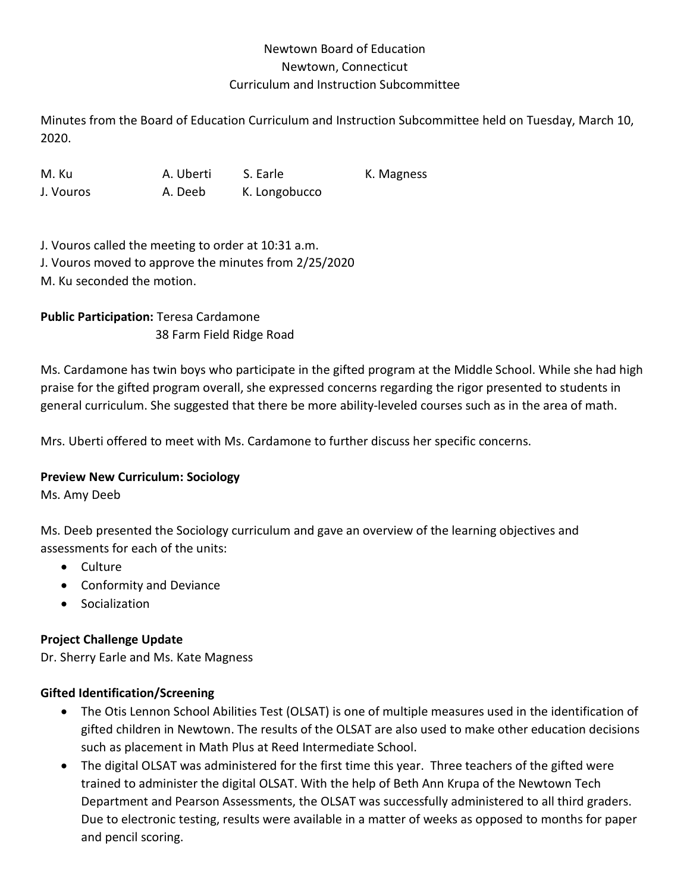## Newtown Board of Education Newtown, Connecticut Curriculum and Instruction Subcommittee

Minutes from the Board of Education Curriculum and Instruction Subcommittee held on Tuesday, March 10, 2020.

M. Ku A. Uberti S. Earle K. Magness J. Vouros A. Deeb K. Longobucco

J. Vouros called the meeting to order at 10:31 a.m. J. Vouros moved to approve the minutes from 2/25/2020 M. Ku seconded the motion.

**Public Participation:** Teresa Cardamone 38 Farm Field Ridge Road

Ms. Cardamone has twin boys who participate in the gifted program at the Middle School. While she had high praise for the gifted program overall, she expressed concerns regarding the rigor presented to students in general curriculum. She suggested that there be more ability-leveled courses such as in the area of math.

Mrs. Uberti offered to meet with Ms. Cardamone to further discuss her specific concerns.

### **Preview New Curriculum: Sociology**

Ms. Amy Deeb

Ms. Deeb presented the Sociology curriculum and gave an overview of the learning objectives and assessments for each of the units:

- Culture
- Conformity and Deviance
- Socialization

# **Project Challenge Update**

Dr. Sherry Earle and Ms. Kate Magness

## **Gifted Identification/Screening**

- The Otis Lennon School Abilities Test (OLSAT) is one of multiple measures used in the identification of gifted children in Newtown. The results of the OLSAT are also used to make other education decisions such as placement in Math Plus at Reed Intermediate School.
- The digital OLSAT was administered for the first time this year. Three teachers of the gifted were trained to administer the digital OLSAT. With the help of Beth Ann Krupa of the Newtown Tech Department and Pearson Assessments, the OLSAT was successfully administered to all third graders. Due to electronic testing, results were available in a matter of weeks as opposed to months for paper and pencil scoring.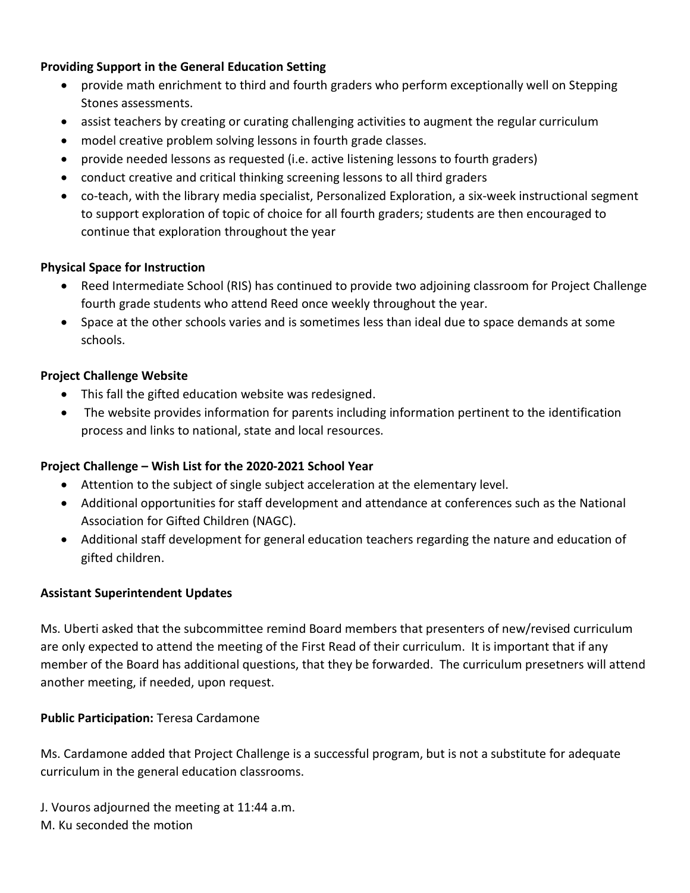### **Providing Support in the General Education Setting**

- provide math enrichment to third and fourth graders who perform exceptionally well on Stepping Stones assessments.
- assist teachers by creating or curating challenging activities to augment the regular curriculum
- model creative problem solving lessons in fourth grade classes.
- provide needed lessons as requested (i.e. active listening lessons to fourth graders)
- conduct creative and critical thinking screening lessons to all third graders
- co-teach, with the library media specialist, Personalized Exploration, a six-week instructional segment to support exploration of topic of choice for all fourth graders; students are then encouraged to continue that exploration throughout the year

### **Physical Space for Instruction**

- Reed Intermediate School (RIS) has continued to provide two adjoining classroom for Project Challenge fourth grade students who attend Reed once weekly throughout the year.
- Space at the other schools varies and is sometimes less than ideal due to space demands at some schools.

### **Project Challenge Website**

- This fall the gifted education website was redesigned.
- The website provides information for parents including information pertinent to the identification process and links to national, state and local resources.

### **Project Challenge – Wish List for the 2020-2021 School Year**

- Attention to the subject of single subject acceleration at the elementary level.
- Additional opportunities for staff development and attendance at conferences such as the National Association for Gifted Children (NAGC).
- Additional staff development for general education teachers regarding the nature and education of gifted children.

#### **Assistant Superintendent Updates**

Ms. Uberti asked that the subcommittee remind Board members that presenters of new/revised curriculum are only expected to attend the meeting of the First Read of their curriculum. It is important that if any member of the Board has additional questions, that they be forwarded. The curriculum presetners will attend another meeting, if needed, upon request.

#### **Public Participation:** Teresa Cardamone

Ms. Cardamone added that Project Challenge is a successful program, but is not a substitute for adequate curriculum in the general education classrooms.

J. Vouros adjourned the meeting at 11:44 a.m. M. Ku seconded the motion